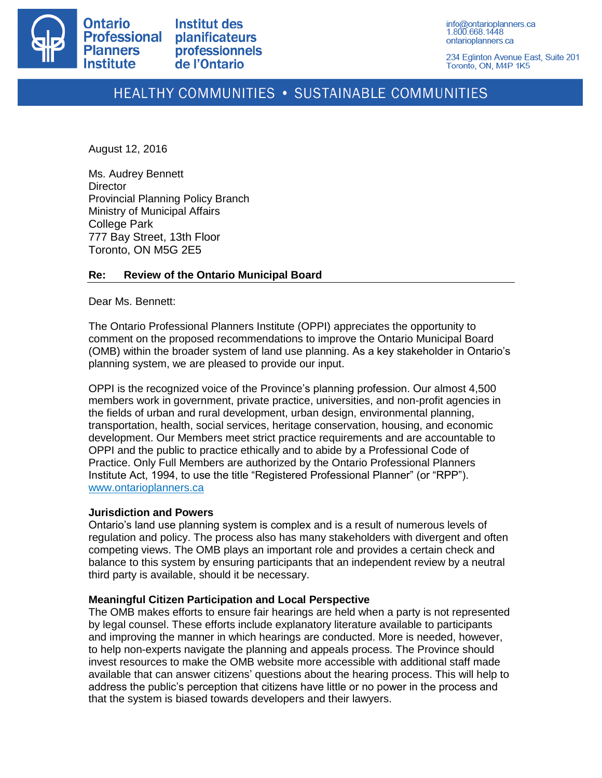

234 Eglinton Avenue East, Suite 201 Toronto, ON, M4P 1K5

# HEALTHY COMMUNITIES . SUSTAINABLE COMMUNITIES

August 12, 2016

Ms. Audrey Bennett **Director** Provincial Planning Policy Branch Ministry of Municipal Affairs College Park 777 Bay Street, 13th Floor Toronto, ON M5G 2E5

# **Re: Review of the Ontario Municipal Board**

Dear Ms. Bennett:

The Ontario Professional Planners Institute (OPPI) appreciates the opportunity to comment on the proposed recommendations to improve the Ontario Municipal Board (OMB) within the broader system of land use planning. As a key stakeholder in Ontario's planning system, we are pleased to provide our input.

OPPI is the recognized voice of the Province's planning profession. Our almost 4,500 members work in government, private practice, universities, and non-profit agencies in the fields of urban and rural development, urban design, environmental planning, transportation, health, social services, heritage conservation, housing, and economic development. Our Members meet strict practice requirements and are accountable to OPPI and the public to practice ethically and to abide by a Professional Code of Practice. Only Full Members are authorized by the Ontario Professional Planners Institute Act, 1994, to use the title "Registered Professional Planner" (or "RPP"). [www.ontarioplanners.ca](http://www.ontarioplanners.ca/)

# **Jurisdiction and Powers**

Ontario's land use planning system is complex and is a result of numerous levels of regulation and policy. The process also has many stakeholders with divergent and often competing views. The OMB plays an important role and provides a certain check and balance to this system by ensuring participants that an independent review by a neutral third party is available, should it be necessary.

# **Meaningful Citizen Participation and Local Perspective**

The OMB makes efforts to ensure fair hearings are held when a party is not represented by legal counsel. These efforts include explanatory literature available to participants and improving the manner in which hearings are conducted. More is needed, however, to help non-experts navigate the planning and appeals process. The Province should invest resources to make the OMB website more accessible with additional staff made available that can answer citizens' questions about the hearing process. This will help to address the public's perception that citizens have little or no power in the process and that the system is biased towards developers and their lawyers.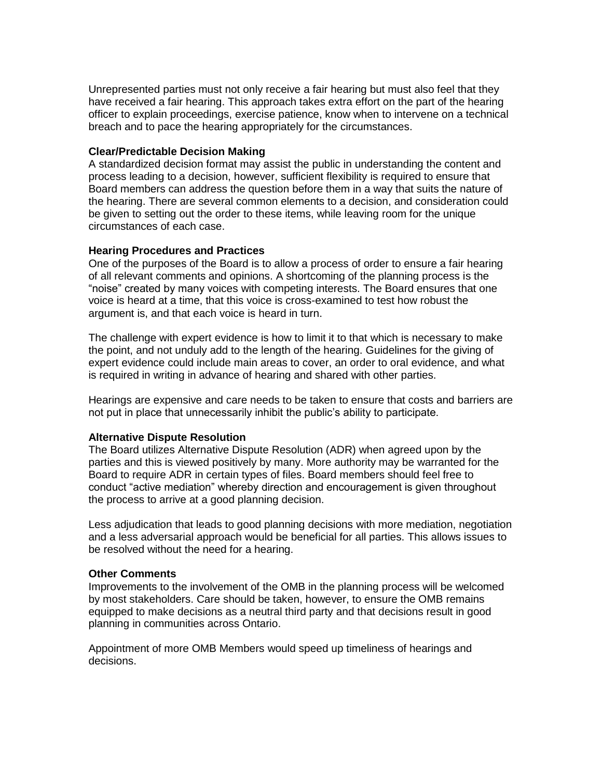Unrepresented parties must not only receive a fair hearing but must also feel that they have received a fair hearing. This approach takes extra effort on the part of the hearing officer to explain proceedings, exercise patience, know when to intervene on a technical breach and to pace the hearing appropriately for the circumstances.

## **Clear/Predictable Decision Making**

A standardized decision format may assist the public in understanding the content and process leading to a decision, however, sufficient flexibility is required to ensure that Board members can address the question before them in a way that suits the nature of the hearing. There are several common elements to a decision, and consideration could be given to setting out the order to these items, while leaving room for the unique circumstances of each case.

### **Hearing Procedures and Practices**

One of the purposes of the Board is to allow a process of order to ensure a fair hearing of all relevant comments and opinions. A shortcoming of the planning process is the "noise" created by many voices with competing interests. The Board ensures that one voice is heard at a time, that this voice is cross-examined to test how robust the argument is, and that each voice is heard in turn.

The challenge with expert evidence is how to limit it to that which is necessary to make the point, and not unduly add to the length of the hearing. Guidelines for the giving of expert evidence could include main areas to cover, an order to oral evidence, and what is required in writing in advance of hearing and shared with other parties.

Hearings are expensive and care needs to be taken to ensure that costs and barriers are not put in place that unnecessarily inhibit the public's ability to participate.

#### **Alternative Dispute Resolution**

The Board utilizes Alternative Dispute Resolution (ADR) when agreed upon by the parties and this is viewed positively by many. More authority may be warranted for the Board to require ADR in certain types of files. Board members should feel free to conduct "active mediation" whereby direction and encouragement is given throughout the process to arrive at a good planning decision.

Less adjudication that leads to good planning decisions with more mediation, negotiation and a less adversarial approach would be beneficial for all parties. This allows issues to be resolved without the need for a hearing.

#### **Other Comments**

Improvements to the involvement of the OMB in the planning process will be welcomed by most stakeholders. Care should be taken, however, to ensure the OMB remains equipped to make decisions as a neutral third party and that decisions result in good planning in communities across Ontario.

Appointment of more OMB Members would speed up timeliness of hearings and decisions.